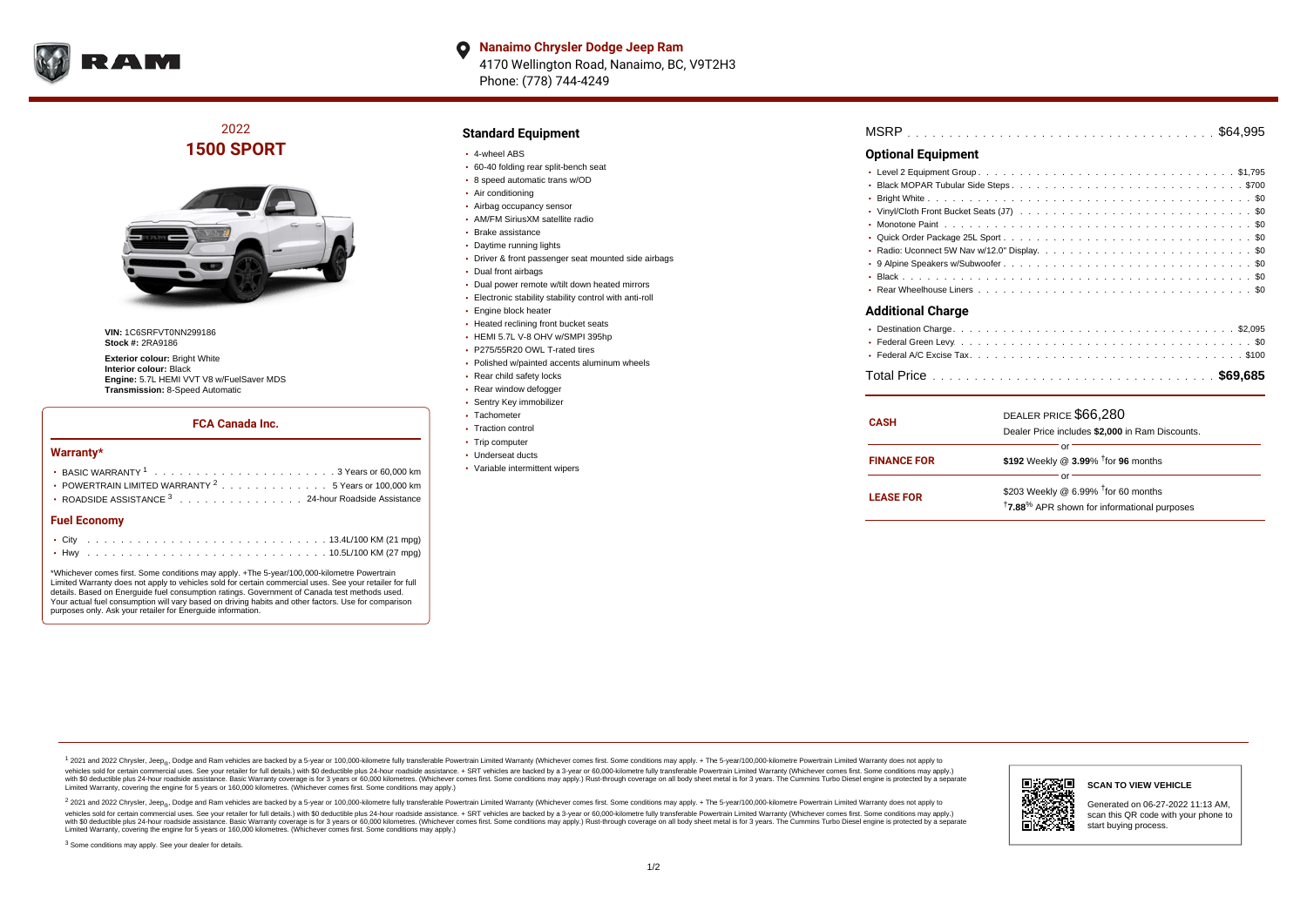

**Nanaimo Chrysler Dodge Jeep Ram**  $\bullet$ 4170 Wellington Road, Nanaimo, BC, V9T2H3 Phone: (778) 744-4249

# 2022 **1500 SPORT**



**VIN:** 1C6SRFVT0NN299186 **Stock #:** 2RA9186

**Exterior colour: Bright White Interior colour:** Black **Engine:** 5.7L HEMI VVT V8 w/FuelSaver MDS **Transmission:** 8-Speed Automatic

### **FCA Canada Inc.**

#### **Warranty\***

| <b>Fuel Economy</b>                                              |  |  |  |  |  |  |  |
|------------------------------------------------------------------|--|--|--|--|--|--|--|
| ROADSIDE ASSISTANCE 3 24-hour Roadside Assistance                |  |  |  |  |  |  |  |
| • POWERTRAIN LIMITED WARRANTY <sup>2</sup> 5 Years or 100,000 km |  |  |  |  |  |  |  |
|                                                                  |  |  |  |  |  |  |  |
|                                                                  |  |  |  |  |  |  |  |

\*Whichever comes first. Some conditions may apply. +The 5-year/100,000-kilometre Powertrain Limited Warranty does not apply to vehicles sold for certain commercial uses. See your retailer for full details. Based on Energuide fuel consumption ratings. Government of Canada test methods used. Your actual fuel consumption will vary based on driving habits and other factors. Use for comparison purposes only. Ask your retailer for Energuide information.

### **Standard Equipment**

- 4-wheel ABS
- 60-40 folding rear split-bench seat
- 8 speed automatic trans w/OD
- Air conditioning
- Airbag occupancy sensor
- AM/FM SiriusXM satellite radio
- Brake assistance
- Daytime running lights
- Driver & front passenger seat mounted side airbags
- Dual front airbags
- Dual power remote w/tilt down heated mirrors
- Electronic stability stability control with anti-roll
- Engine block heater
- Heated reclining front bucket seats
- HEMI 5.7L V-8 OHV w/SMPI 395hp
- P275/55R20 OWL T-rated tires
- Polished w/painted accents aluminum wheels
- Rear child safety locks
- Rear window defogger
- Sentry Key immobilizer
- Tachometer
- Traction control
- Trip computer
- Underseat ducts
- Variable intermittent wipers

| MSRP |  |  |  |  |  |  |  |  |  |  |  |  |  |  |  |  |  |  |  |  |  |  |  |  |  |  |  |  |  |  |  |  |  |  |  |  |  |  |  |  |  |  |  |  |  |  |  |
|------|--|--|--|--|--|--|--|--|--|--|--|--|--|--|--|--|--|--|--|--|--|--|--|--|--|--|--|--|--|--|--|--|--|--|--|--|--|--|--|--|--|--|--|--|--|--|--|
|------|--|--|--|--|--|--|--|--|--|--|--|--|--|--|--|--|--|--|--|--|--|--|--|--|--|--|--|--|--|--|--|--|--|--|--|--|--|--|--|--|--|--|--|--|--|--|--|

## **Optional Equipment**

| <b>Additional Charge</b> |
|--------------------------|

# . . . . . . . . . . . . . . . . . . . . . . . . . . . . . . . . . . . . . . . . . . . . . . Destination Charge \$2,095 . . . . . . . . . . . . . . . . . . . . . . . . . . . . . . . . . . . . . . . . . . . . . . Federal Green Levy \$0 . . . . . . . . . . . . . . . . . . . . . . . . . . . . . . . . . . . . . . . . . . . . . . Federal A/C Excise Tax \$100 . . . . . . . . . . . . . . . . . . . . . . . . . . . . . . . . . . . . . . . . . . . . . . Total Price **\$69,685**

| <b>CASH</b>        | DEALER PRICE \$66,280<br>Dealer Price includes \$2,000 in Ram Discounts.                                                        |
|--------------------|---------------------------------------------------------------------------------------------------------------------------------|
| <b>FINANCE FOR</b> | Ωľ<br>\$192 Weekly @ $3.99\%$ <sup>†</sup> for 96 months                                                                        |
| <b>LEASE FOR</b>   | or<br>\$203 Weekly @ $6.99\%$ <sup>†</sup> for 60 months<br><sup>†</sup> 7.88 <sup>%</sup> APR shown for informational purposes |

<sup>1</sup> 2021 and 2022 Chrysler, Jeep<sub>®</sub>, Dodge and Ram vehicles are backed by a 5-year or 100,000-kilometre fully transferable Powertrain Limited Warranty (Whichever comes first. Some conditions may apply. + The 5-year/100,000 vehicles sold for certain commercial uses. See your retailer for full details.) with \$0 deductible plus 24-hour roadside assistance. + SRT vehicles are backed by a 3-year or 60,000-kilometre fully transferable Powertrain L ventals assume that the control of the control of the control of the control of the control of the control of the control of the control of the control of the control of the control of the control of the control of the con Limited Warranty, covering the engine for 5 years or 160,000 kilometres. (Whichever comes first. Some conditions may apply.)

2 2021 and 2022 Chrysler, Jeep<sub>®</sub>, Dodge and Ram vehicles are backed by a 5-year or 100,000-kilometre fully transferable Powertrain Limited Warranty (Whichever comes first. Some conditions may apply. + The 5-year/100,000-k vehicles sold for certain commercial uses. See your retailer for full details.) with SO deductible plus 24-hour roadside assistance. + SRT vehicles are backed by a 3-year or 60.000-kilometre fully transferable Powertrain L with S0 deductible plus 24-hour roadside assistance. Basic Warranty coverage is for 3 years or 60,000 kilometres. (Whichever comes first. Some conditions may apply.) Rust-through coverage on all body sheet metal is for 3 y



#### **SCAN TO VIEW VEHICLE**

Generated on 06-27-2022 11:13 AM, scan this QR code with your phone to start buying process.

<sup>3</sup> Some conditions may apply. See your dealer for details.